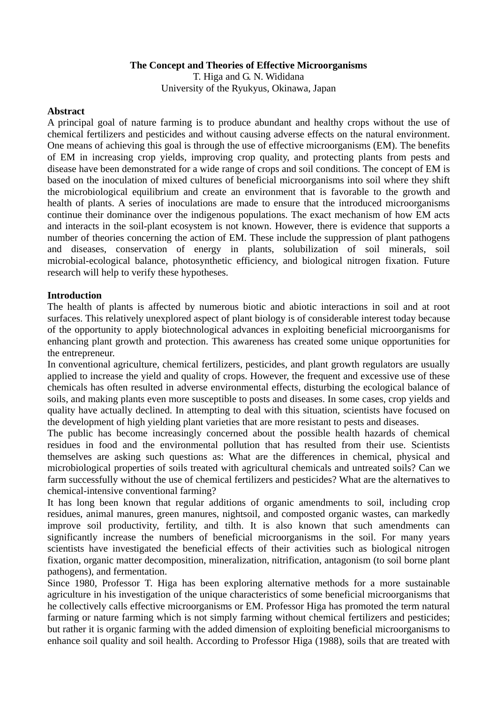## **The Concept and Theories of Effective Microorganisms**

T. Higa and G. N. Wididana University of the Ryukyus, Okinawa, Japan

### **Abstract**

A principal goal of nature farming is to produce abundant and healthy crops without the use of chemical fertilizers and pesticides and without causing adverse effects on the natural environment. One means of achieving this goal is through the use of effective microorganisms (EM). The benefits of EM in increasing crop yields, improving crop quality, and protecting plants from pests and disease have been demonstrated for a wide range of crops and soil conditions. The concept of EM is based on the inoculation of mixed cultures of beneficial microorganisms into soil where they shift the microbiological equilibrium and create an environment that is favorable to the growth and health of plants. A series of inoculations are made to ensure that the introduced microorganisms continue their dominance over the indigenous populations. The exact mechanism of how EM acts and interacts in the soil-plant ecosystem is not known. However, there is evidence that supports a number of theories concerning the action of EM. These include the suppression of plant pathogens and diseases, conservation of energy in plants, solubilization of soil minerals, soil microbial-ecological balance, photosynthetic efficiency, and biological nitrogen fixation. Future research will help to verify these hypotheses.

### **Introduction**

The health of plants is affected by numerous biotic and abiotic interactions in soil and at root surfaces. This relatively unexplored aspect of plant biology is of considerable interest today because of the opportunity to apply biotechnological advances in exploiting beneficial microorganisms for enhancing plant growth and protection. This awareness has created some unique opportunities for the entrepreneur.

In conventional agriculture, chemical fertilizers, pesticides, and plant growth regulators are usually applied to increase the yield and quality of crops. However, the frequent and excessive use of these chemicals has often resulted in adverse environmental effects, disturbing the ecological balance of soils, and making plants even more susceptible to posts and diseases. In some cases, crop yields and quality have actually declined. In attempting to deal with this situation, scientists have focused on the development of high yielding plant varieties that are more resistant to pests and diseases.

The public has become increasingly concerned about the possible health hazards of chemical residues in food and the environmental pollution that has resulted from their use. Scientists themselves are asking such questions as: What are the differences in chemical, physical and microbiological properties of soils treated with agricultural chemicals and untreated soils? Can we farm successfully without the use of chemical fertilizers and pesticides? What are the alternatives to chemical-intensive conventional farming?

It has long been known that regular additions of organic amendments to soil, including crop residues, animal manures, green manures, nightsoil, and composted organic wastes, can markedly improve soil productivity, fertility, and tilth. It is also known that such amendments can significantly increase the numbers of beneficial microorganisms in the soil. For many years scientists have investigated the beneficial effects of their activities such as biological nitrogen fixation, organic matter decomposition, mineralization, nitrification, antagonism (to soil borne plant pathogens), and fermentation.

Since 1980, Professor T. Higa has been exploring alternative methods for a more sustainable agriculture in his investigation of the unique characteristics of some beneficial microorganisms that he collectively calls effective microorganisms or EM. Professor Higa has promoted the term natural farming or nature farming which is not simply farming without chemical fertilizers and pesticides; but rather it is organic farming with the added dimension of exploiting beneficial microorganisms to enhance soil quality and soil health. According to Professor Higa (1988), soils that are treated with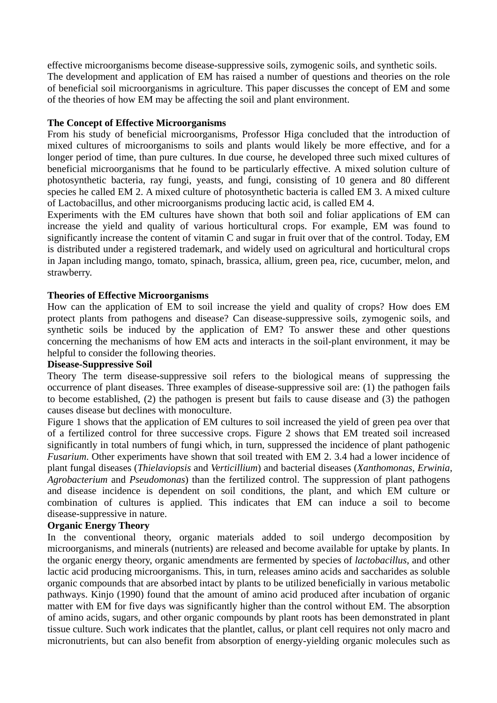effective microorganisms become disease-suppressive soils, zymogenic soils, and synthetic soils. The development and application of EM has raised a number of questions and theories on the role of beneficial soil microorganisms in agriculture. This paper discusses the concept of EM and some of the theories of how EM may be affecting the soil and plant environment.

## **The Concept of Effective Microorganisms**

From his study of beneficial microorganisms, Professor Higa concluded that the introduction of mixed cultures of microorganisms to soils and plants would likely be more effective, and for a longer period of time, than pure cultures. In due course, he developed three such mixed cultures of beneficial microorganisms that he found to be particularly effective. A mixed solution culture of photosynthetic bacteria, ray fungi, yeasts, and fungi, consisting of 10 genera and 80 different species he called EM 2. A mixed culture of photosynthetic bacteria is called EM 3. A mixed culture of Lactobacillus, and other microorganisms producing lactic acid, is called EM 4.

Experiments with the EM cultures have shown that both soil and foliar applications of EM can increase the yield and quality of various horticultural crops. For example, EM was found to significantly increase the content of vitamin C and sugar in fruit over that of the control. Today, EM is distributed under a registered trademark, and widely used on agricultural and horticultural crops in Japan including mango, tomato, spinach, brassica, allium, green pea, rice, cucumber, melon, and strawberry.

## **Theories of Effective Microorganisms**

How can the application of EM to soil increase the yield and quality of crops? How does EM protect plants from pathogens and disease? Can disease-suppressive soils, zymogenic soils, and synthetic soils be induced by the application of EM? To answer these and other questions concerning the mechanisms of how EM acts and interacts in the soil-plant environment, it may be helpful to consider the following theories.

### **Disease-Suppressive Soil**

Theory The term disease-suppressive soil refers to the biological means of suppressing the occurrence of plant diseases. Three examples of disease-suppressive soil are: (1) the pathogen fails to become established, (2) the pathogen is present but fails to cause disease and (3) the pathogen causes disease but declines with monoculture.

Figure 1 shows that the application of EM cultures to soil increased the yield of green pea over that of a fertilized control for three successive crops. Figure 2 shows that EM treated soil increased significantly in total numbers of fungi which, in turn, suppressed the incidence of plant pathogenic *Fusarium*. Other experiments have shown that soil treated with EM 2. 3.4 had a lower incidence of plant fungal diseases (*Thielaviopsis* and *Verticillium*) and bacterial diseases (*Xanthomonas*, *Erwinia*, *Agrobacterium* and *Pseudomonas*) than the fertilized control. The suppression of plant pathogens and disease incidence is dependent on soil conditions, the plant, and which EM culture or combination of cultures is applied. This indicates that EM can induce a soil to become disease-suppressive in nature.

# **Organic Energy Theory**

In the conventional theory, organic materials added to soil undergo decomposition by microorganisms, and minerals (nutrients) are released and become available for uptake by plants. In the organic energy theory, organic amendments are fermented by species of *lactobacillus*, and other lactic acid producing microorganisms. This, in turn, releases amino acids and saccharides as soluble organic compounds that are absorbed intact by plants to be utilized beneficially in various metabolic pathways. Kinjo (1990) found that the amount of amino acid produced after incubation of organic matter with EM for five days was significantly higher than the control without EM. The absorption of amino acids, sugars, and other organic compounds by plant roots has been demonstrated in plant tissue culture. Such work indicates that the plantlet, callus, or plant cell requires not only macro and micronutrients, but can also benefit from absorption of energy-yielding organic molecules such as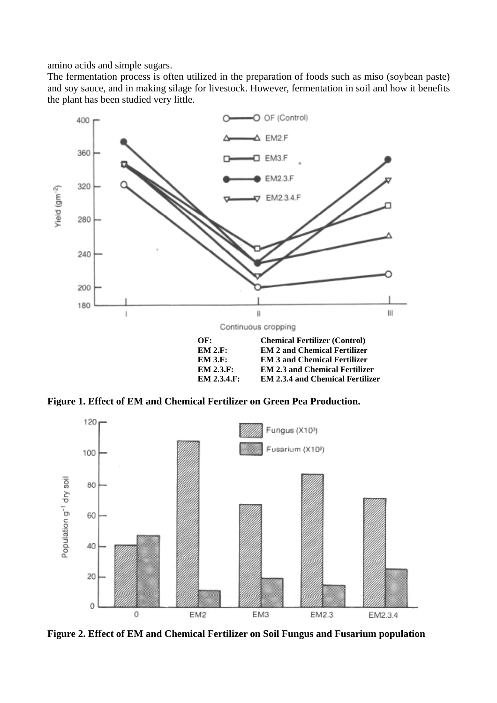amino acids and simple sugars.

The fermentation process is often utilized in the preparation of foods such as miso (soybean paste) and soy sauce, and in making silage for livestock. However, fermentation in soil and how it benefits the plant has been studied very little.



**Figure 1. Effect of EM and Chemical Fertilizer on Green Pea Production.** 



**Figure 2. Effect of EM and Chemical Fertilizer on Soil Fungus and Fusarium population**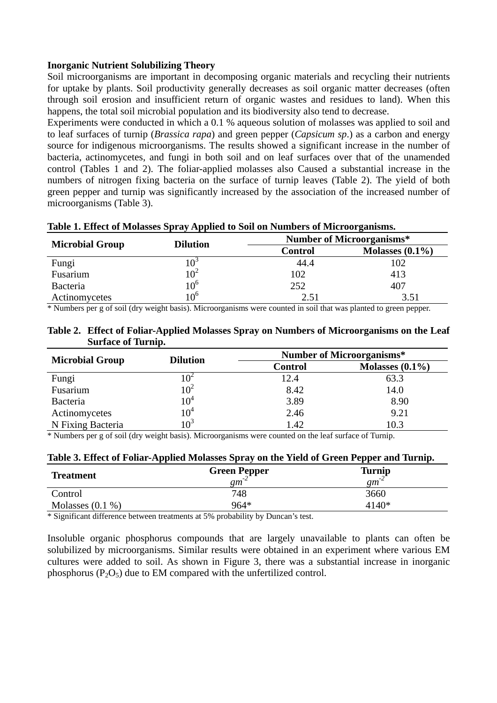### **Inorganic Nutrient Solubilizing Theory**

Soil microorganisms are important in decomposing organic materials and recycling their nutrients for uptake by plants. Soil productivity generally decreases as soil organic matter decreases (often through soil erosion and insufficient return of organic wastes and residues to land). When this happens, the total soil microbial population and its biodiversity also tend to decrease.

Experiments were conducted in which a 0.1 % aqueous solution of molasses was applied to soil and to leaf surfaces of turnip (*Brassica rapa*) and green pepper (*Capsicum sp*.) as a carbon and energy source for indigenous microorganisms. The results showed a significant increase in the number of bacteria, actinomycetes, and fungi in both soil and on leaf surfaces over that of the unamended control (Tables 1 and 2). The foliar-applied molasses also Caused a substantial increase in the numbers of nitrogen fixing bacteria on the surface of turnip leaves (Table 2). The yield of both green pepper and turnip was significantly increased by the association of the increased number of microorganisms (Table 3).

|                        | <b>Dilution</b> | Table 1. Effect of Niolasses Spray Applied to Son on Numbers of Niferon gamsins.<br><b>Number of Microorganisms*</b> |                    |  |
|------------------------|-----------------|----------------------------------------------------------------------------------------------------------------------|--------------------|--|
| <b>Microbial Group</b> |                 | <b>Control</b>                                                                                                       | Molasses $(0.1\%)$ |  |
| Fungi                  |                 | 44.4                                                                                                                 | 102                |  |
| Fusarium               | $10^2$          | 102                                                                                                                  | 413                |  |
| Bacteria               | $10^6$          | 252                                                                                                                  | 407                |  |
| Actinomycetes          | $10^6$          | 2.51                                                                                                                 | 3.51               |  |

## **Table 1. Effect of Molasses Spray Applied to Soil on Numbers of Microorganisms.**

\* Numbers per g of soil (dry weight basis). Microorganisms were counted in soil that was planted to green pepper.

| Table 2. Effect of Foliar-Applied Molasses Spray on Numbers of Microorganisms on the Leaf |
|-------------------------------------------------------------------------------------------|
| <b>Surface of Turnip.</b>                                                                 |

| <b>Microbial Group</b> | <b>Dilution</b> | <b>Number of Microorganisms*</b> |                    |  |
|------------------------|-----------------|----------------------------------|--------------------|--|
|                        |                 | Control                          | Molasses $(0.1\%)$ |  |
| Fungi                  | $(0^{\circ})$   | 12.4                             | 63.3               |  |
| Fusarium               | $10^2$          | 8.42                             | 14.0               |  |
| Bacteria               | $10^4\,$        | 3.89                             | 8.90               |  |
| Actinomycetes          | $10^4\,$        | 2.46                             | 9.21               |  |
| N Fixing Bacteria      | $10^3$          | 1.42                             | 10.3               |  |

\* Numbers per g of soil (dry weight basis). Microorganisms were counted on the leaf surface of Turnip.

| Table 3. Effect of Foliar-Applied Molasses Spray on the Yield of Green Pepper and Turnip. |  |  |  |  |  |  |
|-------------------------------------------------------------------------------------------|--|--|--|--|--|--|
|-------------------------------------------------------------------------------------------|--|--|--|--|--|--|

| <b>Treatment</b>   | <b>Green Pepper</b><br>gm | <b>Turnip</b><br>$\mathfrak{g}_m$ |
|--------------------|---------------------------|-----------------------------------|
| Control            | 748                       | 3660                              |
| Molasses $(0.1\%)$ | 964*                      | 4140*                             |

\* Significant difference between treatments at 5% probability by Duncan's test.

Insoluble organic phosphorus compounds that are largely unavailable to plants can often be solubilized by microorganisms. Similar results were obtained in an experiment where various EM cultures were added to soil. As shown in Figure 3, there was a substantial increase in inorganic phosphorus  $(P_2O_5)$  due to EM compared with the unfertilized control.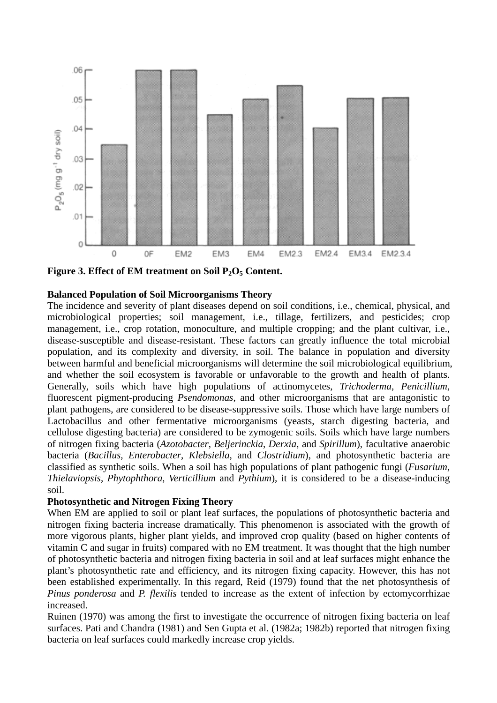

Figure 3. Effect of EM treatment on Soil P<sub>2</sub>O<sub>5</sub> Content.

## **Balanced Population of Soil Microorganisms Theory**

The incidence and severity of plant diseases depend on soil conditions, i.e., chemical, physical, and microbiological properties; soil management, i.e., tillage, fertilizers, and pesticides; crop management, i.e., crop rotation, monoculture, and multiple cropping; and the plant cultivar, i.e., disease-susceptible and disease-resistant. These factors can greatly influence the total microbial population, and its complexity and diversity, in soil. The balance in population and diversity between harmful and beneficial microorganisms will determine the soil microbiological equilibrium, and whether the soil ecosystem is favorable or unfavorable to the growth and health of plants. Generally, soils which have high populations of actinomycetes, *Trichoderma*, *Penicillium*, fluorescent pigment-producing *Psendomonas*, and other microorganisms that are antagonistic to plant pathogens, are considered to be disease-suppressive soils. Those which have large numbers of Lactobacillus and other fermentative microorganisms (yeasts, starch digesting bacteria, and cellulose digesting bacteria) are considered to be zymogenic soils. Soils which have large numbers of nitrogen fixing bacteria (*Azotobacter*, *Beljerinckia*, *Derxia*, and *Spirillum*), facultative anaerobic bacteria (*Bacillus*, *Enterobacter*, *Klebsiella*, and *Clostridium*), and photosynthetic bacteria are classified as synthetic soils. When a soil has high populations of plant pathogenic fungi (*Fusarium*, *Thielaviopsis*, *Phytophthora*, *Verticillium* and *Pythium*), it is considered to be a disease-inducing soil.

# **Photosynthetic and Nitrogen Fixing Theory**

When EM are applied to soil or plant leaf surfaces, the populations of photosynthetic bacteria and nitrogen fixing bacteria increase dramatically. This phenomenon is associated with the growth of more vigorous plants, higher plant yields, and improved crop quality (based on higher contents of vitamin C and sugar in fruits) compared with no EM treatment. It was thought that the high number of photosynthetic bacteria and nitrogen fixing bacteria in soil and at leaf surfaces might enhance the plant's photosynthetic rate and efficiency, and its nitrogen fixing capacity. However, this has not been established experimentally. In this regard, Reid (1979) found that the net photosynthesis of *Pinus ponderosa* and *P. flexilis* tended to increase as the extent of infection by ectomycorrhizae increased.

Ruinen (1970) was among the first to investigate the occurrence of nitrogen fixing bacteria on leaf surfaces. Pati and Chandra (1981) and Sen Gupta et al. (1982a; 1982b) reported that nitrogen fixing bacteria on leaf surfaces could markedly increase crop yields.